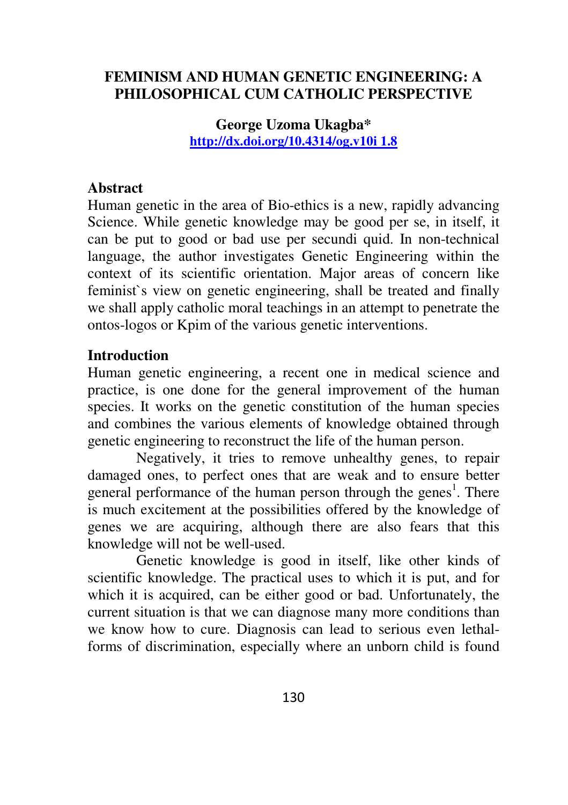## **FEMINISM AND HUMAN GENETIC ENGINEERING: A PHILOSOPHICAL CUM CATHOLIC PERSPECTIVE**

**George Uzoma Ukagba\* http://dx.doi.org/10.4314/og.v10i 1.8**

#### **Abstract**

Human genetic in the area of Bio-ethics is a new, rapidly advancing Science. While genetic knowledge may be good per se, in itself, it can be put to good or bad use per secundi quid. In non-technical language, the author investigates Genetic Engineering within the context of its scientific orientation. Major areas of concern like feminist`s view on genetic engineering, shall be treated and finally we shall apply catholic moral teachings in an attempt to penetrate the ontos-logos or Kpim of the various genetic interventions.

#### **Introduction**

Human genetic engineering, a recent one in medical science and practice, is one done for the general improvement of the human species. It works on the genetic constitution of the human species and combines the various elements of knowledge obtained through genetic engineering to reconstruct the life of the human person.

Negatively, it tries to remove unhealthy genes, to repair damaged ones, to perfect ones that are weak and to ensure better general performance of the human person through the genes<sup>1</sup>. There is much excitement at the possibilities offered by the knowledge of genes we are acquiring, although there are also fears that this knowledge will not be well-used.

Genetic knowledge is good in itself, like other kinds of scientific knowledge. The practical uses to which it is put, and for which it is acquired, can be either good or bad. Unfortunately, the current situation is that we can diagnose many more conditions than we know how to cure. Diagnosis can lead to serious even lethalforms of discrimination, especially where an unborn child is found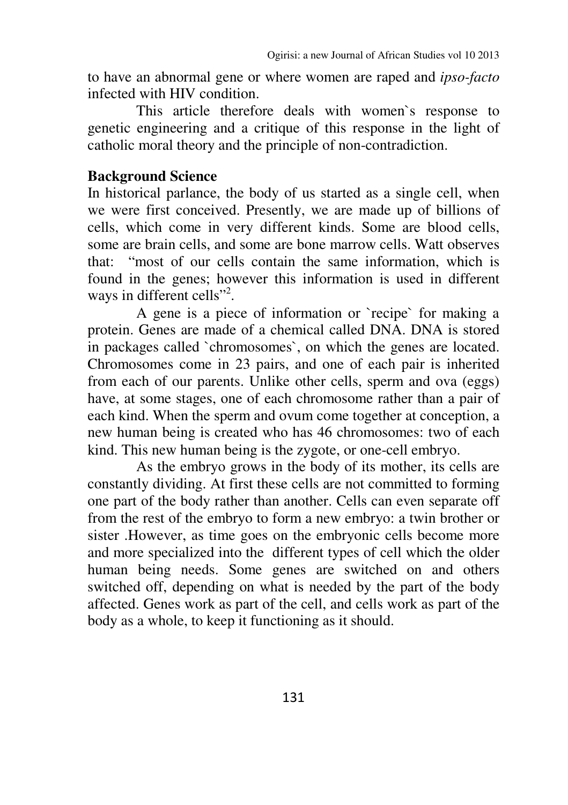to have an abnormal gene or where women are raped and *ipso-facto* infected with HIV condition.

This article therefore deals with women`s response to genetic engineering and a critique of this response in the light of catholic moral theory and the principle of non-contradiction.

#### **Background Science**

In historical parlance, the body of us started as a single cell, when we were first conceived. Presently, we are made up of billions of cells, which come in very different kinds. Some are blood cells, some are brain cells, and some are bone marrow cells. Watt observes that: "most of our cells contain the same information, which is found in the genes; however this information is used in different ways in different cells"<sup>2</sup>.

A gene is a piece of information or `recipe` for making a protein. Genes are made of a chemical called DNA. DNA is stored in packages called `chromosomes`, on which the genes are located. Chromosomes come in 23 pairs, and one of each pair is inherited from each of our parents. Unlike other cells, sperm and ova (eggs) have, at some stages, one of each chromosome rather than a pair of each kind. When the sperm and ovum come together at conception, a new human being is created who has 46 chromosomes: two of each kind. This new human being is the zygote, or one-cell embryo.

As the embryo grows in the body of its mother, its cells are constantly dividing. At first these cells are not committed to forming one part of the body rather than another. Cells can even separate off from the rest of the embryo to form a new embryo: a twin brother or sister .However, as time goes on the embryonic cells become more and more specialized into the different types of cell which the older human being needs. Some genes are switched on and others switched off, depending on what is needed by the part of the body affected. Genes work as part of the cell, and cells work as part of the body as a whole, to keep it functioning as it should.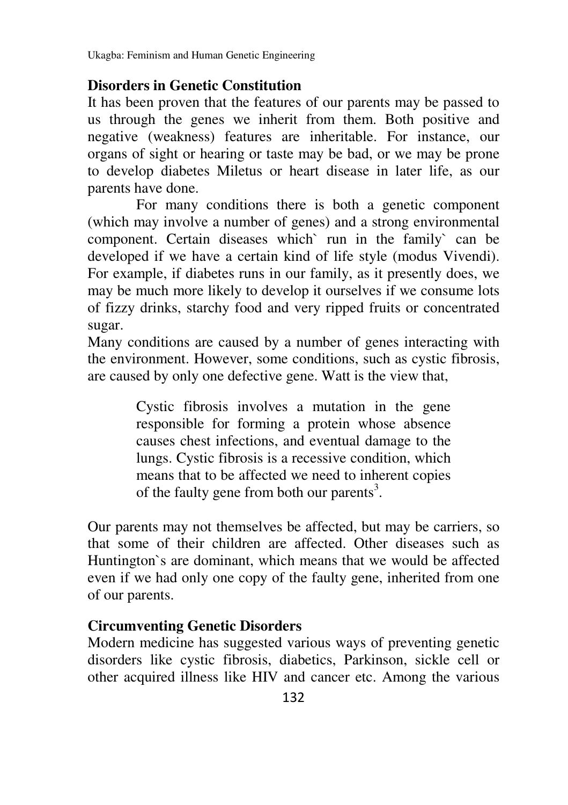Ukagba: Feminism and Human Genetic Engineering

### **Disorders in Genetic Constitution**

It has been proven that the features of our parents may be passed to us through the genes we inherit from them. Both positive and negative (weakness) features are inheritable. For instance, our organs of sight or hearing or taste may be bad, or we may be prone to develop diabetes Miletus or heart disease in later life, as our parents have done.

 For many conditions there is both a genetic component (which may involve a number of genes) and a strong environmental component. Certain diseases which` run in the family` can be developed if we have a certain kind of life style (modus Vivendi). For example, if diabetes runs in our family, as it presently does, we may be much more likely to develop it ourselves if we consume lots of fizzy drinks, starchy food and very ripped fruits or concentrated sugar.

Many conditions are caused by a number of genes interacting with the environment. However, some conditions, such as cystic fibrosis, are caused by only one defective gene. Watt is the view that,

> Cystic fibrosis involves a mutation in the gene responsible for forming a protein whose absence causes chest infections, and eventual damage to the lungs. Cystic fibrosis is a recessive condition, which means that to be affected we need to inherent copies of the faulty gene from both our parents<sup>3</sup>.

Our parents may not themselves be affected, but may be carriers, so that some of their children are affected. Other diseases such as Huntington`s are dominant, which means that we would be affected even if we had only one copy of the faulty gene, inherited from one of our parents.

## **Circumventing Genetic Disorders**

Modern medicine has suggested various ways of preventing genetic disorders like cystic fibrosis, diabetics, Parkinson, sickle cell or other acquired illness like HIV and cancer etc. Among the various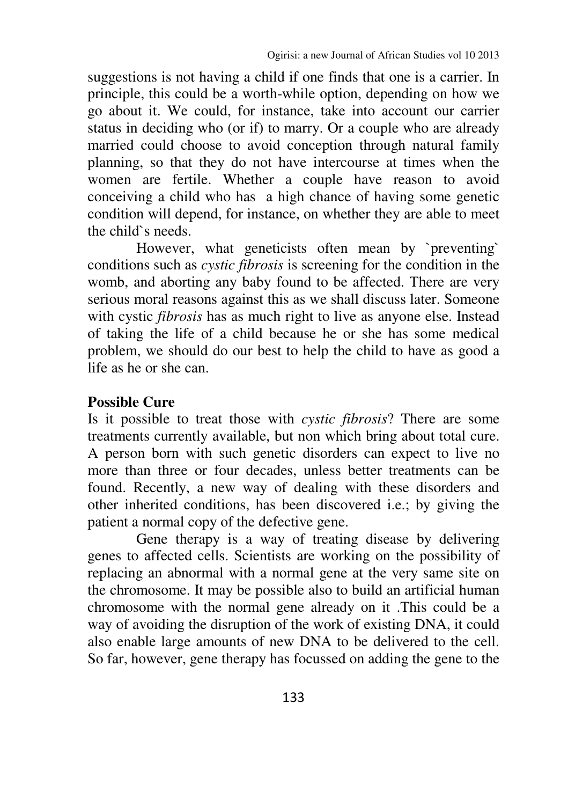suggestions is not having a child if one finds that one is a carrier. In principle, this could be a worth-while option, depending on how we go about it. We could, for instance, take into account our carrier status in deciding who (or if) to marry. Or a couple who are already married could choose to avoid conception through natural family planning, so that they do not have intercourse at times when the women are fertile. Whether a couple have reason to avoid conceiving a child who has a high chance of having some genetic condition will depend, for instance, on whether they are able to meet the child`s needs.

However, what geneticists often mean by `preventing` conditions such as *cystic fibrosis* is screening for the condition in the womb, and aborting any baby found to be affected. There are very serious moral reasons against this as we shall discuss later. Someone with cystic *fibrosis* has as much right to live as anyone else. Instead of taking the life of a child because he or she has some medical problem, we should do our best to help the child to have as good a life as he or she can.

#### **Possible Cure**

Is it possible to treat those with *cystic fibrosis*? There are some treatments currently available, but non which bring about total cure. A person born with such genetic disorders can expect to live no more than three or four decades, unless better treatments can be found. Recently, a new way of dealing with these disorders and other inherited conditions, has been discovered i.e.; by giving the patient a normal copy of the defective gene.

Gene therapy is a way of treating disease by delivering genes to affected cells. Scientists are working on the possibility of replacing an abnormal with a normal gene at the very same site on the chromosome. It may be possible also to build an artificial human chromosome with the normal gene already on it .This could be a way of avoiding the disruption of the work of existing DNA, it could also enable large amounts of new DNA to be delivered to the cell. So far, however, gene therapy has focussed on adding the gene to the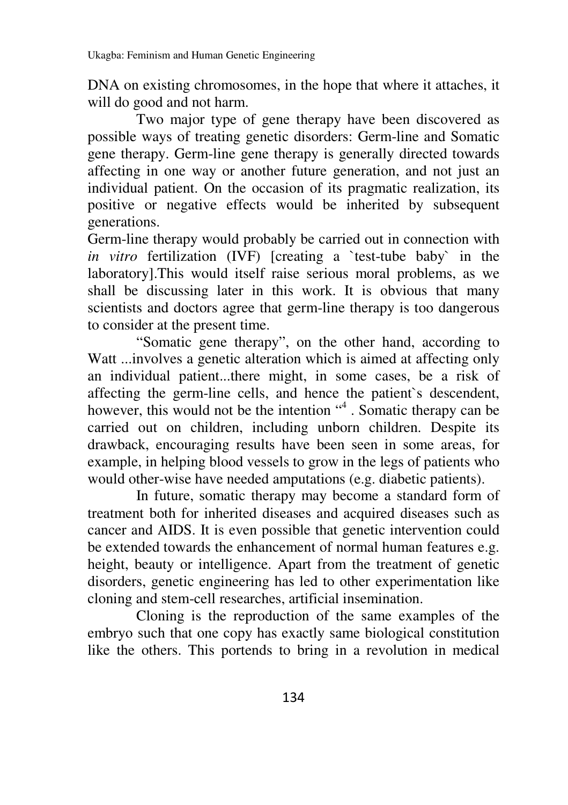DNA on existing chromosomes, in the hope that where it attaches, it will do good and not harm.

Two major type of gene therapy have been discovered as possible ways of treating genetic disorders: Germ-line and Somatic gene therapy. Germ-line gene therapy is generally directed towards affecting in one way or another future generation, and not just an individual patient. On the occasion of its pragmatic realization, its positive or negative effects would be inherited by subsequent generations.

Germ-line therapy would probably be carried out in connection with *in vitro* fertilization (IVF) [creating a 'test-tube baby' in the laboratory].This would itself raise serious moral problems, as we shall be discussing later in this work. It is obvious that many scientists and doctors agree that germ-line therapy is too dangerous to consider at the present time.

"Somatic gene therapy", on the other hand, according to Watt ...involves a genetic alteration which is aimed at affecting only an individual patient...there might, in some cases, be a risk of affecting the germ-line cells, and hence the patient`s descendent, however, this would not be the intention "4. Somatic therapy can be carried out on children, including unborn children. Despite its drawback, encouraging results have been seen in some areas, for example, in helping blood vessels to grow in the legs of patients who would other-wise have needed amputations (e.g. diabetic patients).

In future, somatic therapy may become a standard form of treatment both for inherited diseases and acquired diseases such as cancer and AIDS. It is even possible that genetic intervention could be extended towards the enhancement of normal human features e.g. height, beauty or intelligence. Apart from the treatment of genetic disorders, genetic engineering has led to other experimentation like cloning and stem-cell researches, artificial insemination.

Cloning is the reproduction of the same examples of the embryo such that one copy has exactly same biological constitution like the others. This portends to bring in a revolution in medical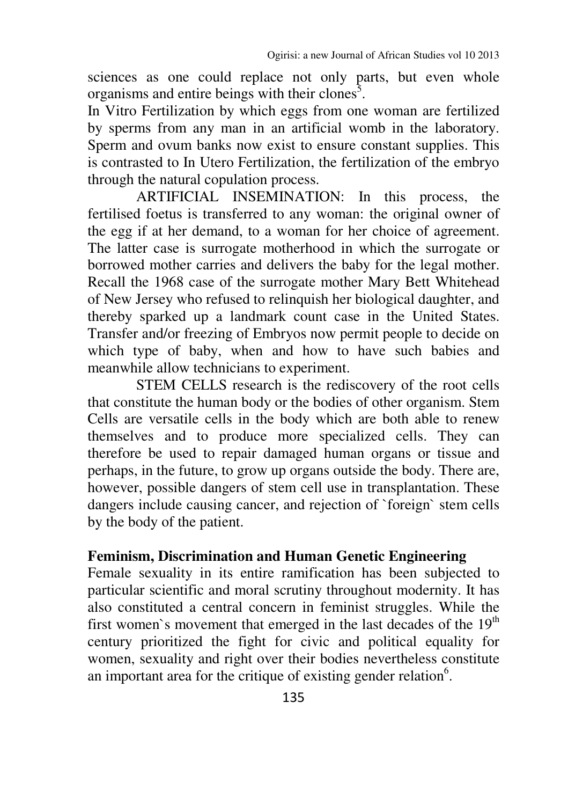sciences as one could replace not only parts, but even whole organisms and entire beings with their clones<sup>5</sup>.

In Vitro Fertilization by which eggs from one woman are fertilized by sperms from any man in an artificial womb in the laboratory. Sperm and ovum banks now exist to ensure constant supplies. This is contrasted to In Utero Fertilization, the fertilization of the embryo through the natural copulation process.

ARTIFICIAL INSEMINATION: In this process, the fertilised foetus is transferred to any woman: the original owner of the egg if at her demand, to a woman for her choice of agreement. The latter case is surrogate motherhood in which the surrogate or borrowed mother carries and delivers the baby for the legal mother. Recall the 1968 case of the surrogate mother Mary Bett Whitehead of New Jersey who refused to relinquish her biological daughter, and thereby sparked up a landmark count case in the United States. Transfer and/or freezing of Embryos now permit people to decide on which type of baby, when and how to have such babies and meanwhile allow technicians to experiment.

STEM CELLS research is the rediscovery of the root cells that constitute the human body or the bodies of other organism. Stem Cells are versatile cells in the body which are both able to renew themselves and to produce more specialized cells. They can therefore be used to repair damaged human organs or tissue and perhaps, in the future, to grow up organs outside the body. There are, however, possible dangers of stem cell use in transplantation. These dangers include causing cancer, and rejection of `foreign` stem cells by the body of the patient.

#### **Feminism, Discrimination and Human Genetic Engineering**

Female sexuality in its entire ramification has been subjected to particular scientific and moral scrutiny throughout modernity. It has also constituted a central concern in feminist struggles. While the first women's movement that emerged in the last decades of the  $19<sup>th</sup>$ century prioritized the fight for civic and political equality for women, sexuality and right over their bodies nevertheless constitute an important area for the critique of existing gender relation $6$ .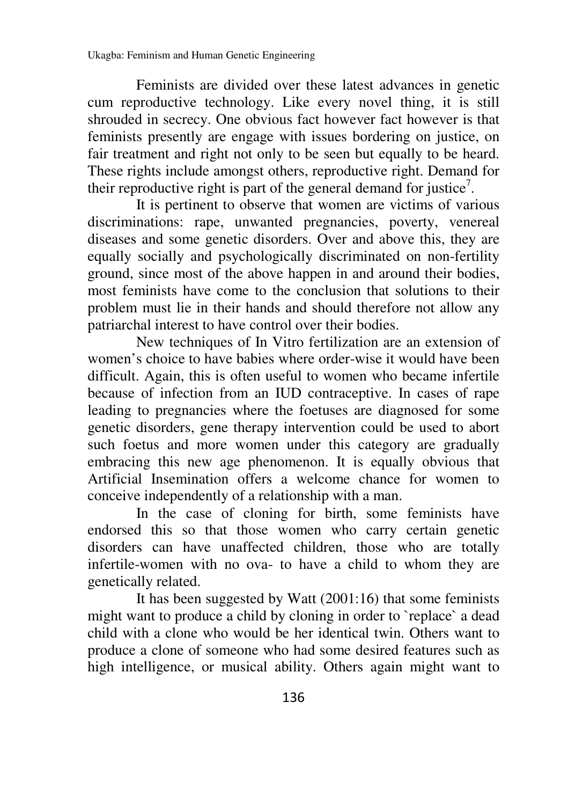Feminists are divided over these latest advances in genetic cum reproductive technology. Like every novel thing, it is still shrouded in secrecy. One obvious fact however fact however is that feminists presently are engage with issues bordering on justice, on fair treatment and right not only to be seen but equally to be heard. These rights include amongst others, reproductive right. Demand for their reproductive right is part of the general demand for justice<sup>7</sup>.

It is pertinent to observe that women are victims of various discriminations: rape, unwanted pregnancies, poverty, venereal diseases and some genetic disorders. Over and above this, they are equally socially and psychologically discriminated on non-fertility ground, since most of the above happen in and around their bodies, most feminists have come to the conclusion that solutions to their problem must lie in their hands and should therefore not allow any patriarchal interest to have control over their bodies.

New techniques of In Vitro fertilization are an extension of women's choice to have babies where order-wise it would have been difficult. Again, this is often useful to women who became infertile because of infection from an IUD contraceptive. In cases of rape leading to pregnancies where the foetuses are diagnosed for some genetic disorders, gene therapy intervention could be used to abort such foetus and more women under this category are gradually embracing this new age phenomenon. It is equally obvious that Artificial Insemination offers a welcome chance for women to conceive independently of a relationship with a man.

In the case of cloning for birth, some feminists have endorsed this so that those women who carry certain genetic disorders can have unaffected children, those who are totally infertile-women with no ova- to have a child to whom they are genetically related.

It has been suggested by Watt (2001:16) that some feminists might want to produce a child by cloning in order to `replace` a dead child with a clone who would be her identical twin. Others want to produce a clone of someone who had some desired features such as high intelligence, or musical ability. Others again might want to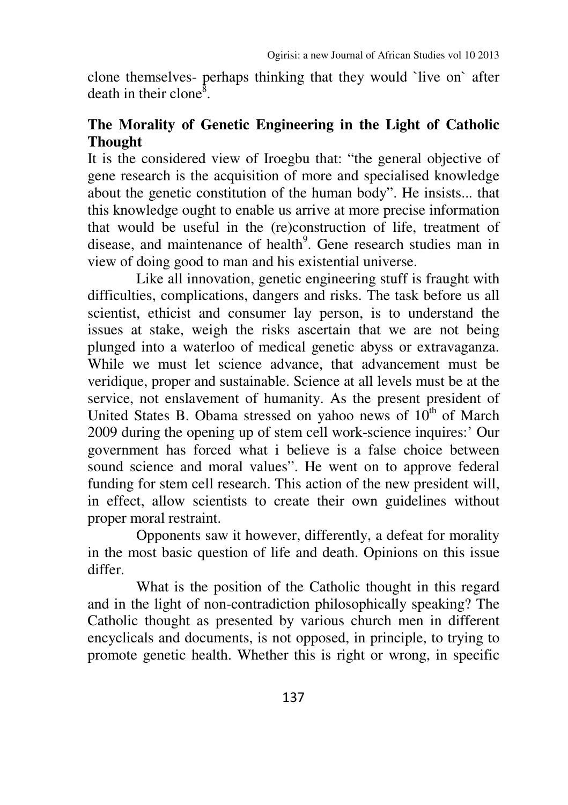clone themselves- perhaps thinking that they would `live on` after death in their clone<sup>8</sup>.

## **The Morality of Genetic Engineering in the Light of Catholic Thought**

It is the considered view of Iroegbu that: "the general objective of gene research is the acquisition of more and specialised knowledge about the genetic constitution of the human body". He insists... that this knowledge ought to enable us arrive at more precise information that would be useful in the (re)construction of life, treatment of disease, and maintenance of health<sup>9</sup>. Gene research studies man in view of doing good to man and his existential universe.

Like all innovation, genetic engineering stuff is fraught with difficulties, complications, dangers and risks. The task before us all scientist, ethicist and consumer lay person, is to understand the issues at stake, weigh the risks ascertain that we are not being plunged into a waterloo of medical genetic abyss or extravaganza. While we must let science advance, that advancement must be veridique, proper and sustainable. Science at all levels must be at the service, not enslavement of humanity. As the present president of United States B. Obama stressed on yahoo news of  $10^{th}$  of March 2009 during the opening up of stem cell work-science inquires:' Our government has forced what i believe is a false choice between sound science and moral values". He went on to approve federal funding for stem cell research. This action of the new president will, in effect, allow scientists to create their own guidelines without proper moral restraint.

Opponents saw it however, differently, a defeat for morality in the most basic question of life and death. Opinions on this issue differ.

 What is the position of the Catholic thought in this regard and in the light of non-contradiction philosophically speaking? The Catholic thought as presented by various church men in different encyclicals and documents, is not opposed, in principle, to trying to promote genetic health. Whether this is right or wrong, in specific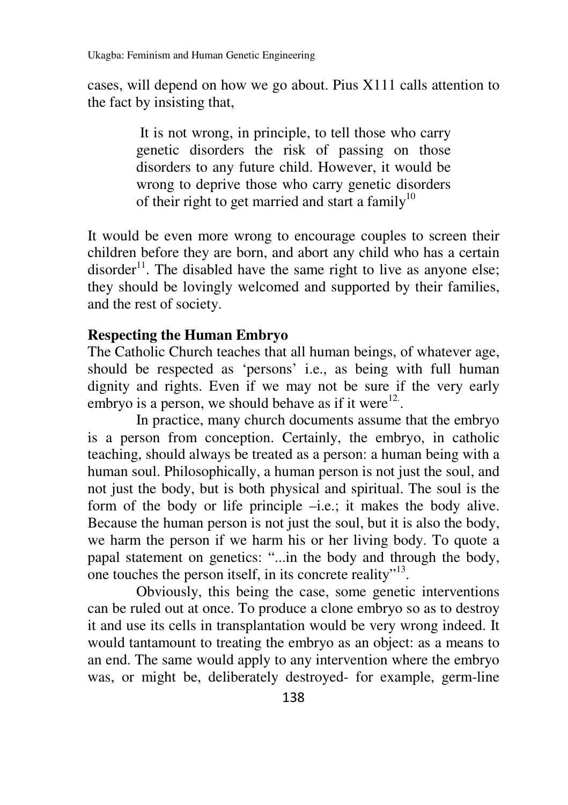cases, will depend on how we go about. Pius X111 calls attention to the fact by insisting that,

> It is not wrong, in principle, to tell those who carry genetic disorders the risk of passing on those disorders to any future child. However, it would be wrong to deprive those who carry genetic disorders of their right to get married and start a family<sup>10</sup>

It would be even more wrong to encourage couples to screen their children before they are born, and abort any child who has a certain disorder<sup>11</sup>. The disabled have the same right to live as anyone else; they should be lovingly welcomed and supported by their families, and the rest of society.

## **Respecting the Human Embryo**

The Catholic Church teaches that all human beings, of whatever age, should be respected as 'persons' i.e., as being with full human dignity and rights. Even if we may not be sure if the very early embryo is a person, we should behave as if it were $12$ .

In practice, many church documents assume that the embryo is a person from conception. Certainly, the embryo, in catholic teaching, should always be treated as a person: a human being with a human soul. Philosophically, a human person is not just the soul, and not just the body, but is both physical and spiritual. The soul is the form of the body or life principle –i.e.; it makes the body alive. Because the human person is not just the soul, but it is also the body, we harm the person if we harm his or her living body. To quote a papal statement on genetics: "...in the body and through the body, one touches the person itself, in its concrete reality"<sup>13</sup>.

Obviously, this being the case, some genetic interventions can be ruled out at once. To produce a clone embryo so as to destroy it and use its cells in transplantation would be very wrong indeed. It would tantamount to treating the embryo as an object: as a means to an end. The same would apply to any intervention where the embryo was, or might be, deliberately destroyed- for example, germ-line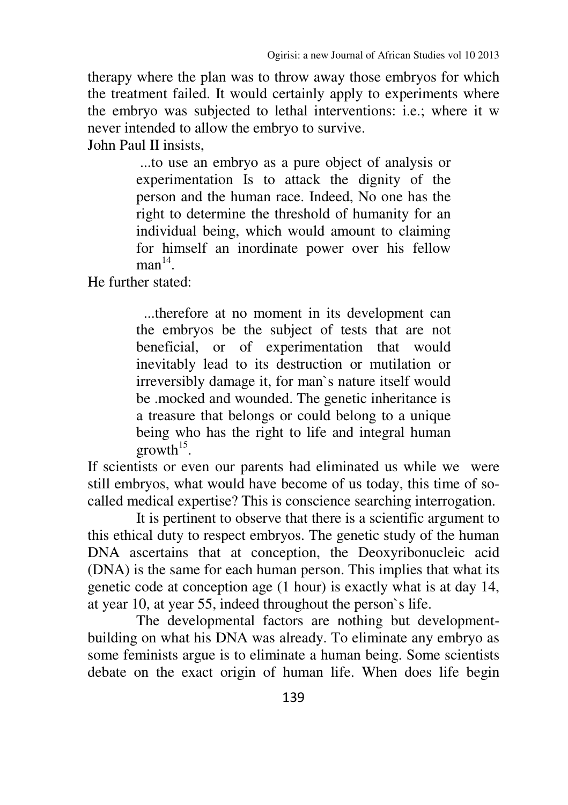therapy where the plan was to throw away those embryos for which the treatment failed. It would certainly apply to experiments where the embryo was subjected to lethal interventions: i.e.; where it w never intended to allow the embryo to survive.

John Paul II insists,

 ...to use an embryo as a pure object of analysis or experimentation Is to attack the dignity of the person and the human race. Indeed, No one has the right to determine the threshold of humanity for an individual being, which would amount to claiming for himself an inordinate power over his fellow  $man<sup>14</sup>$ .

He further stated:

...therefore at no moment in its development can the embryos be the subject of tests that are not beneficial, or of experimentation that would inevitably lead to its destruction or mutilation or irreversibly damage it, for man`s nature itself would be .mocked and wounded. The genetic inheritance is a treasure that belongs or could belong to a unique being who has the right to life and integral human  $growth<sup>15</sup>$ .

If scientists or even our parents had eliminated us while we were still embryos, what would have become of us today, this time of socalled medical expertise? This is conscience searching interrogation.

It is pertinent to observe that there is a scientific argument to this ethical duty to respect embryos. The genetic study of the human DNA ascertains that at conception, the Deoxyribonucleic acid (DNA) is the same for each human person. This implies that what its genetic code at conception age (1 hour) is exactly what is at day 14, at year 10, at year 55, indeed throughout the person`s life.

The developmental factors are nothing but developmentbuilding on what his DNA was already. To eliminate any embryo as some feminists argue is to eliminate a human being. Some scientists debate on the exact origin of human life. When does life begin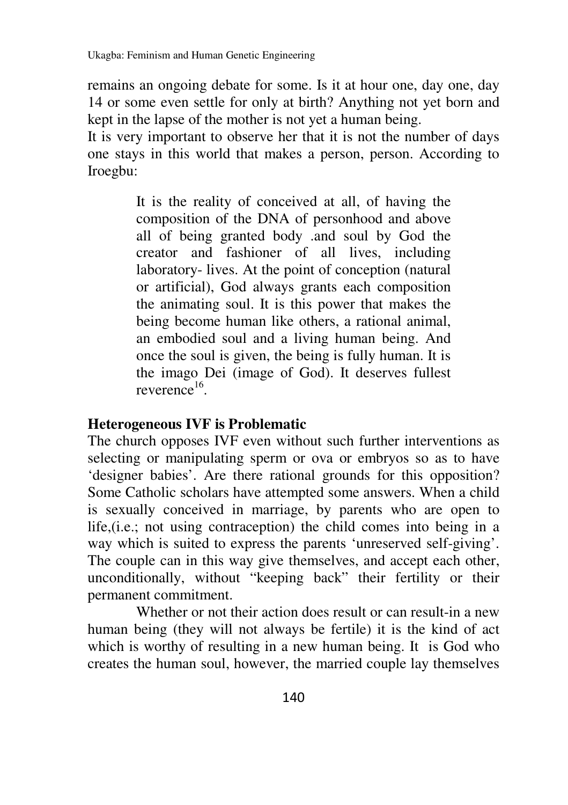remains an ongoing debate for some. Is it at hour one, day one, day 14 or some even settle for only at birth? Anything not yet born and kept in the lapse of the mother is not yet a human being.

It is very important to observe her that it is not the number of days one stays in this world that makes a person, person. According to Iroegbu:

> It is the reality of conceived at all, of having the composition of the DNA of personhood and above all of being granted body .and soul by God the creator and fashioner of all lives, including laboratory- lives. At the point of conception (natural or artificial), God always grants each composition the animating soul. It is this power that makes the being become human like others, a rational animal, an embodied soul and a living human being. And once the soul is given, the being is fully human. It is the imago Dei (image of God). It deserves fullest reverence<sup>16</sup>.

### **Heterogeneous IVF is Problematic**

The church opposes IVF even without such further interventions as selecting or manipulating sperm or ova or embryos so as to have 'designer babies'. Are there rational grounds for this opposition? Some Catholic scholars have attempted some answers. When a child is sexually conceived in marriage, by parents who are open to life,(i.e.; not using contraception) the child comes into being in a way which is suited to express the parents 'unreserved self-giving'. The couple can in this way give themselves, and accept each other, unconditionally, without "keeping back" their fertility or their permanent commitment.

Whether or not their action does result or can result-in a new human being (they will not always be fertile) it is the kind of act which is worthy of resulting in a new human being. It is God who creates the human soul, however, the married couple lay themselves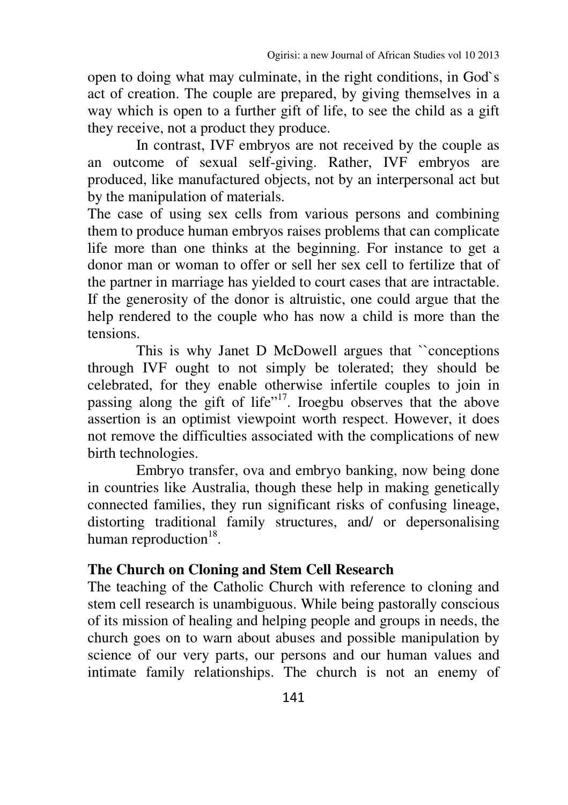open to doing what may culminate, in the right conditions, in God`s act of creation. The couple are prepared, by giving themselves in a way which is open to a further gift of life, to see the child as a gift they receive, not a product they produce.

In contrast, IVF embryos are not received by the couple as an outcome of sexual self-giving. Rather, IVF embryos are produced, like manufactured objects, not by an interpersonal act but by the manipulation of materials.

The case of using sex cells from various persons and combining them to produce human embryos raises problems that can complicate life more than one thinks at the beginning. For instance to get a donor man or woman to offer or sell her sex cell to fertilize that of the partner in marriage has yielded to court cases that are intractable. If the generosity of the donor is altruistic, one could argue that the help rendered to the couple who has now a child is more than the tensions.

This is why Janet D McDowell argues that ``conceptions through IVF ought to not simply be tolerated; they should be celebrated, for they enable otherwise infertile couples to join in passing along the gift of life"<sup>17</sup>. Iroegbu observes that the above assertion is an optimist viewpoint worth respect. However, it does not remove the difficulties associated with the complications of new birth technologies.

Embryo transfer, ova and embryo banking, now being done in countries like Australia, though these help in making genetically connected families, they run significant risks of confusing lineage, distorting traditional family structures, and/ or depersonalising human reproduction $18$ .

### **The Church on Cloning and Stem Cell Research**

The teaching of the Catholic Church with reference to cloning and stem cell research is unambiguous. While being pastorally conscious of its mission of healing and helping people and groups in needs, the church goes on to warn about abuses and possible manipulation by science of our very parts, our persons and our human values and intimate family relationships. The church is not an enemy of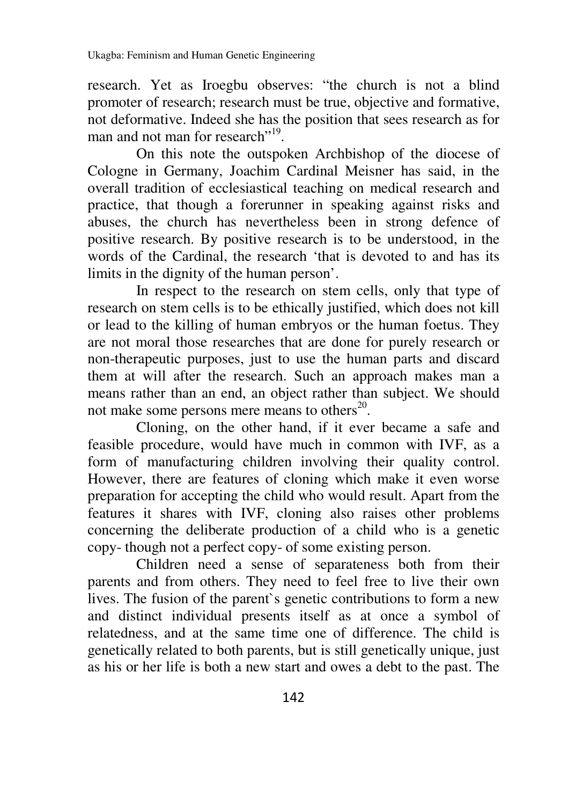research. Yet as Iroegbu observes: "the church is not a blind promoter of research; research must be true, objective and formative, not deformative. Indeed she has the position that sees research as for man and not man for research"<sup>19</sup>.

On this note the outspoken Archbishop of the diocese of Cologne in Germany, Joachim Cardinal Meisner has said, in the overall tradition of ecclesiastical teaching on medical research and practice, that though a forerunner in speaking against risks and abuses, the church has nevertheless been in strong defence of positive research. By positive research is to be understood, in the words of the Cardinal, the research 'that is devoted to and has its limits in the dignity of the human person'.

 In respect to the research on stem cells, only that type of research on stem cells is to be ethically justified, which does not kill or lead to the killing of human embryos or the human foetus. They are not moral those researches that are done for purely research or non-therapeutic purposes, just to use the human parts and discard them at will after the research. Such an approach makes man a means rather than an end, an object rather than subject. We should not make some persons mere means to others $^{20}$ .

Cloning, on the other hand, if it ever became a safe and feasible procedure, would have much in common with IVF, as a form of manufacturing children involving their quality control. However, there are features of cloning which make it even worse preparation for accepting the child who would result. Apart from the features it shares with IVF, cloning also raises other problems concerning the deliberate production of a child who is a genetic copy- though not a perfect copy- of some existing person.

Children need a sense of separateness both from their parents and from others. They need to feel free to live their own lives. The fusion of the parent`s genetic contributions to form a new and distinct individual presents itself as at once a symbol of relatedness, and at the same time one of difference. The child is genetically related to both parents, but is still genetically unique, just as his or her life is both a new start and owes a debt to the past. The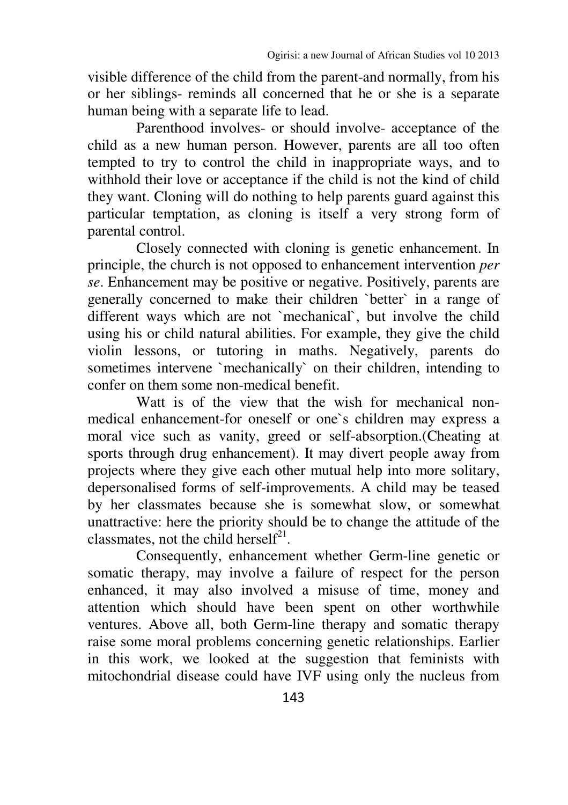visible difference of the child from the parent-and normally, from his or her siblings- reminds all concerned that he or she is a separate human being with a separate life to lead.

Parenthood involves- or should involve- acceptance of the child as a new human person. However, parents are all too often tempted to try to control the child in inappropriate ways, and to withhold their love or acceptance if the child is not the kind of child they want. Cloning will do nothing to help parents guard against this particular temptation, as cloning is itself a very strong form of parental control.

 Closely connected with cloning is genetic enhancement. In principle, the church is not opposed to enhancement intervention *per se*. Enhancement may be positive or negative. Positively, parents are generally concerned to make their children `better` in a range of different ways which are not `mechanical`, but involve the child using his or child natural abilities. For example, they give the child violin lessons, or tutoring in maths. Negatively, parents do sometimes intervene `mechanically` on their children, intending to confer on them some non-medical benefit.

Watt is of the view that the wish for mechanical nonmedical enhancement-for oneself or one`s children may express a moral vice such as vanity, greed or self-absorption.(Cheating at sports through drug enhancement). It may divert people away from projects where they give each other mutual help into more solitary, depersonalised forms of self-improvements. A child may be teased by her classmates because she is somewhat slow, or somewhat unattractive: here the priority should be to change the attitude of the classmates, not the child herself<sup>21</sup>.

Consequently, enhancement whether Germ-line genetic or somatic therapy, may involve a failure of respect for the person enhanced, it may also involved a misuse of time, money and attention which should have been spent on other worthwhile ventures. Above all, both Germ-line therapy and somatic therapy raise some moral problems concerning genetic relationships. Earlier in this work, we looked at the suggestion that feminists with mitochondrial disease could have IVF using only the nucleus from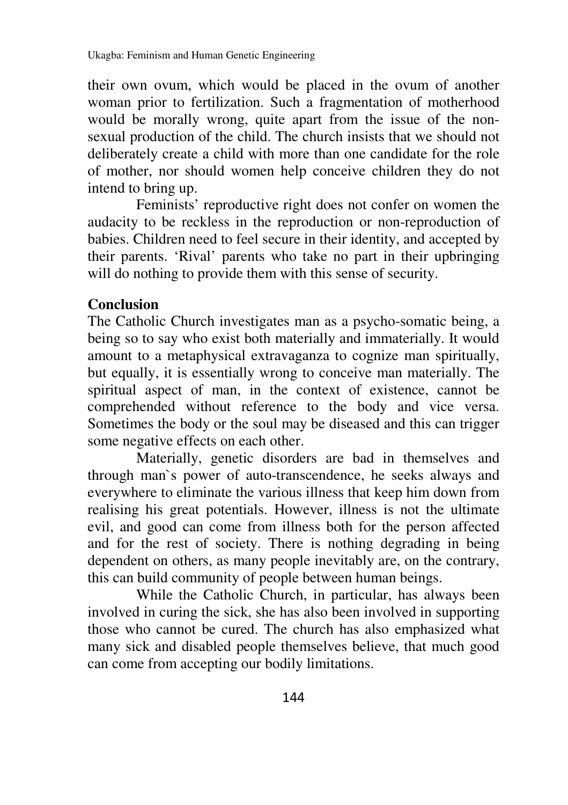their own ovum, which would be placed in the ovum of another woman prior to fertilization. Such a fragmentation of motherhood would be morally wrong, quite apart from the issue of the nonsexual production of the child. The church insists that we should not deliberately create a child with more than one candidate for the role of mother, nor should women help conceive children they do not intend to bring up.

Feminists' reproductive right does not confer on women the audacity to be reckless in the reproduction or non-reproduction of babies. Children need to feel secure in their identity, and accepted by their parents. 'Rival' parents who take no part in their upbringing will do nothing to provide them with this sense of security.

## **Conclusion**

The Catholic Church investigates man as a psycho-somatic being, a being so to say who exist both materially and immaterially. It would amount to a metaphysical extravaganza to cognize man spiritually, but equally, it is essentially wrong to conceive man materially. The spiritual aspect of man, in the context of existence, cannot be comprehended without reference to the body and vice versa. Sometimes the body or the soul may be diseased and this can trigger some negative effects on each other.

Materially, genetic disorders are bad in themselves and through man`s power of auto-transcendence, he seeks always and everywhere to eliminate the various illness that keep him down from realising his great potentials. However, illness is not the ultimate evil, and good can come from illness both for the person affected and for the rest of society. There is nothing degrading in being dependent on others, as many people inevitably are, on the contrary, this can build community of people between human beings.

While the Catholic Church, in particular, has always been involved in curing the sick, she has also been involved in supporting those who cannot be cured. The church has also emphasized what many sick and disabled people themselves believe, that much good can come from accepting our bodily limitations.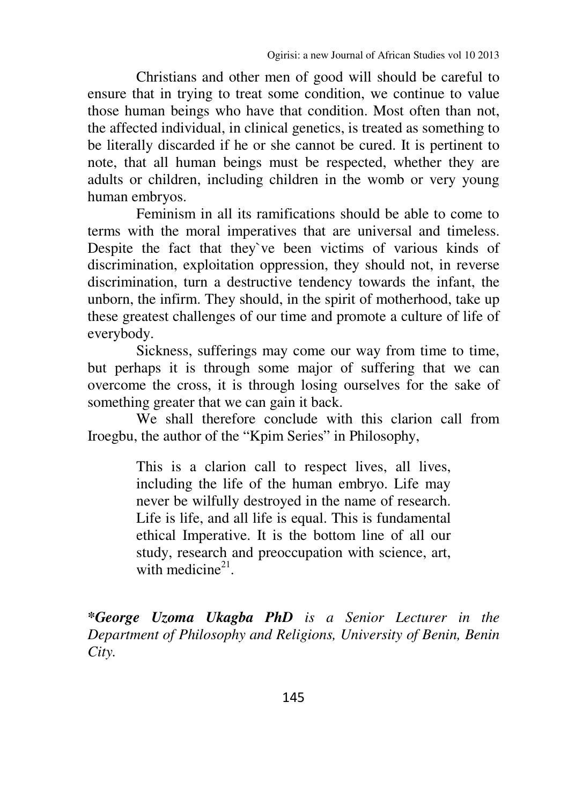Christians and other men of good will should be careful to ensure that in trying to treat some condition, we continue to value those human beings who have that condition. Most often than not, the affected individual, in clinical genetics, is treated as something to be literally discarded if he or she cannot be cured. It is pertinent to note, that all human beings must be respected, whether they are adults or children, including children in the womb or very young human embryos.

Feminism in all its ramifications should be able to come to terms with the moral imperatives that are universal and timeless. Despite the fact that they`ve been victims of various kinds of discrimination, exploitation oppression, they should not, in reverse discrimination, turn a destructive tendency towards the infant, the unborn, the infirm. They should, in the spirit of motherhood, take up these greatest challenges of our time and promote a culture of life of everybody.

Sickness, sufferings may come our way from time to time, but perhaps it is through some major of suffering that we can overcome the cross, it is through losing ourselves for the sake of something greater that we can gain it back.

We shall therefore conclude with this clarion call from Iroegbu, the author of the "Kpim Series" in Philosophy,

> This is a clarion call to respect lives, all lives, including the life of the human embryo. Life may never be wilfully destroyed in the name of research. Life is life, and all life is equal. This is fundamental ethical Imperative. It is the bottom line of all our study, research and preoccupation with science, art, with medicine $2<sup>1</sup>$ .

*\*George Uzoma Ukagba PhD is a Senior Lecturer in the Department of Philosophy and Religions, University of Benin, Benin City.*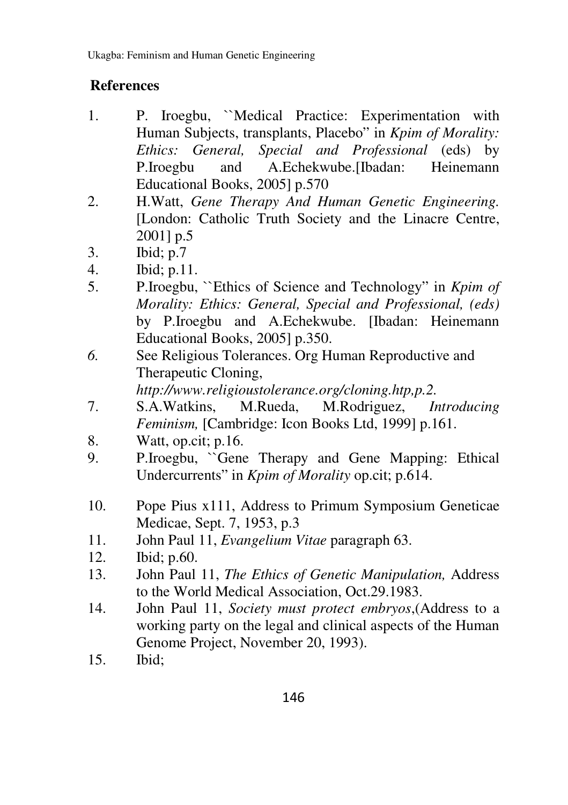# **References**

- 1. P. Iroegbu, ``Medical Practice: Experimentation with Human Subjects, transplants, Placebo" in *Kpim of Morality: Ethics: General, Special and Professional* (eds) by P.Iroegbu and A.Echekwube.[Ibadan: Heinemann Educational Books, 2005] p.570
- 2. H.Watt, *Gene Therapy And Human Genetic Engineering.* [London: Catholic Truth Society and the Linacre Centre, 2001] p.5
- 3. Ibid; p.7
- 4. Ibid; p.11.
- 5. P.Iroegbu, ``Ethics of Science and Technology" in *Kpim of Morality: Ethics: General, Special and Professional, (eds)*  by P.Iroegbu and A.Echekwube. [Ibadan: Heinemann Educational Books, 2005] p.350.
- *6.* See Religious Tolerances. Org Human Reproductive and Therapeutic Cloning,

*http://www.religioustolerance.org/cloning.htp,p.2.* 

- 7. S.A.Watkins, M.Rueda, M.Rodriguez, *Introducing Feminism,* [Cambridge: Icon Books Ltd, 1999] p.161.
- 8. Watt, op.cit; p.16.
- 9. P.Iroegbu, ``Gene Therapy and Gene Mapping: Ethical Undercurrents" in *Kpim of Morality* op.cit; p.614.
- 10. Pope Pius x111, Address to Primum Symposium Geneticae Medicae, Sept. 7, 1953, p.3
- 11. John Paul 11, *Evangelium Vitae* paragraph 63.
- 12. Ibid; p.60.
- 13. John Paul 11, *The Ethics of Genetic Manipulation,* Address to the World Medical Association, Oct.29.1983.
- 14. John Paul 11, *Society must protect embryos*,(Address to a working party on the legal and clinical aspects of the Human Genome Project, November 20, 1993).
- 15. Ibid;